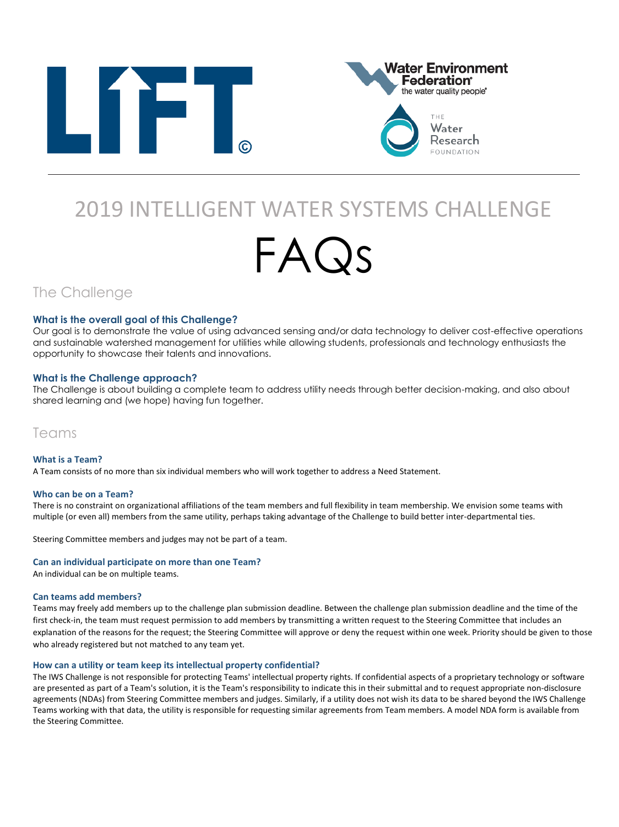



# 2019 INTELLIGENT WATER SYSTEMS CHALLENGE

# FAQs

The Challenge

#### **What is the overall goal of this Challenge?**

Our goal is to demonstrate the value of using advanced sensing and/or data technology to deliver cost-effective operations and sustainable watershed management for utilities while allowing students, professionals and technology enthusiasts the opportunity to showcase their talents and innovations.

#### **What is the Challenge approach?**

The Challenge is about building a complete team to address utility needs through better decision-making, and also about shared learning and (we hope) having fun together.

### Teams

**What is a Team?**  A Team consists of no more than six individual members who will work together to address a Need Statement.

#### **Who can be on a Team?**

There is no constraint on organizational affiliations of the team members and full flexibility in team membership. We envision some teams with multiple (or even all) members from the same utility, perhaps taking advantage of the Challenge to build better inter-departmental ties.

Steering Committee members and judges may not be part of a team.

#### **Can an individual participate on more than one Team?**

An individual can be on multiple teams.

#### **Can teams add members?**

Teams may freely add members up to the challenge plan submission deadline. Between the challenge plan submission deadline and the time of the first check-in, the team must request permission to add members by transmitting a written request to the Steering Committee that includes an explanation of the reasons for the request; the Steering Committee will approve or deny the request within one week. Priority should be given to those who already registered but not matched to any team yet.

#### **How can a utility or team keep its intellectual property confidential?**

The IWS Challenge is not responsible for protecting Teams' intellectual property rights. If confidential aspects of a proprietary technology or software are presented as part of a Team's solution, it is the Team's responsibility to indicate this in their submittal and to request appropriate non-disclosure agreements (NDAs) from Steering Committee members and judges. Similarly, if a utility does not wish its data to be shared beyond the IWS Challenge Teams working with that data, the utility is responsible for requesting similar agreements from Team members. A model NDA form is available from the Steering Committee.